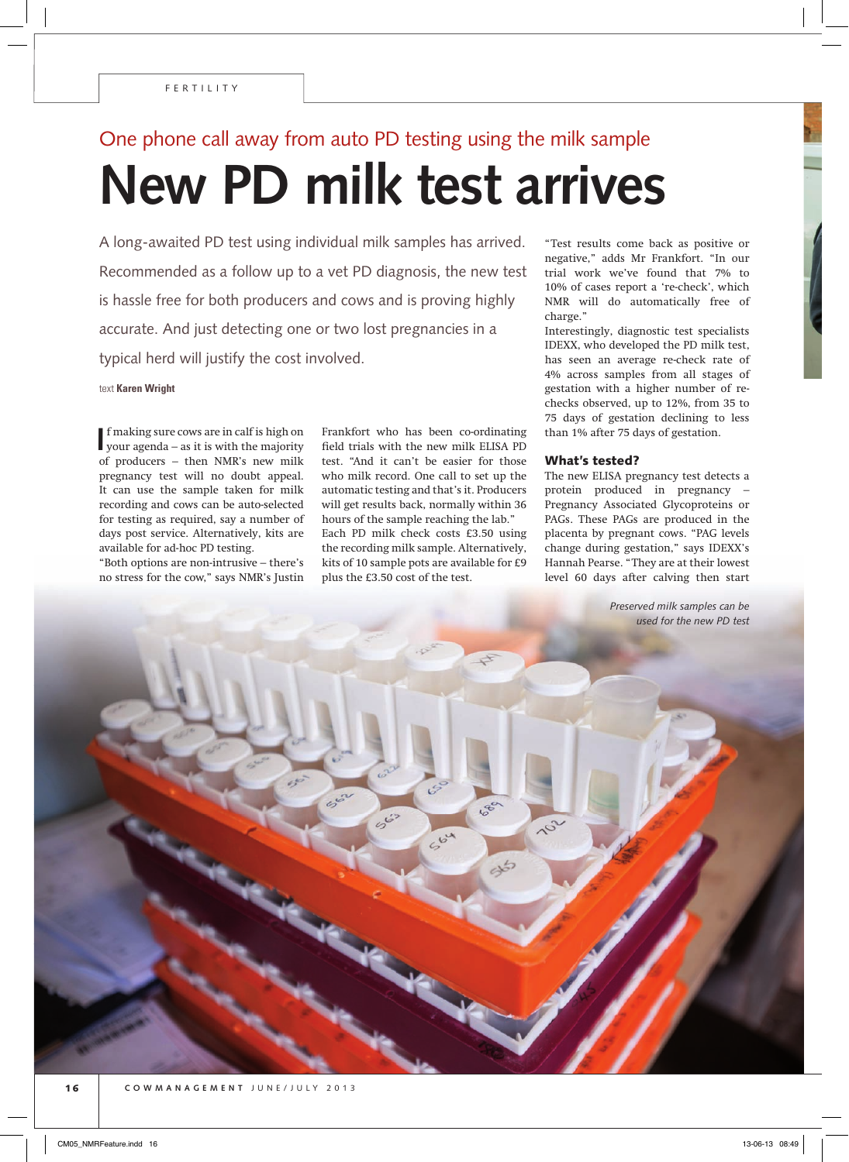# One phone call away from auto PD testing using the milk sample **New PD milk test arrives**

A long-awaited PD test using individual milk samples has arrived. Recommended as a follow up to a vet PD diagnosis, the new test is hassle free for both producers and cows and is proving highly accurate. And just detecting one or two lost pregnancies in a typical herd will justify the cost involved.

## text **Karen Wright**

**I**<sup>f</sup> making sure cows are in calf is high on<br>your agenda – as it is with the majority f making sure cows are in calf is high on of producers – then NMR's new milk pregnancy test will no doubt appeal. It can use the sample taken for milk recording and cows can be auto-selected for testing as required, say a number of days post service. Alternatively, kits are available for ad-hoc PD testing.

"Both options are non-intrusive – there's no stress for the cow," says NMR's Justin

Frankfort who has been co-ordinating field trials with the new milk ELISA PD test. "And it can't be easier for those who milk record. One call to set up the automatic testing and that's it. Producers will get results back, normally within 36 hours of the sample reaching the lab." Each PD milk check costs £3.50 using the recording milk sample. Alternatively, kits of 10 sample pots are available for £9 plus the £3.50 cost of the test.

"Test results come back as positive or negative," adds Mr Frankfort. "In our trial work we've found that 7% to 10% of cases report a 're-check', which NMR will do automatically free of charge."

Interestingly, diagnostic test specialists IDEXX, who developed the PD milk test, has seen an average re-check rate of 4% across samples from all stages of gestation with a higher number of rechecks observed, up to 12%, from 35 to 75 days of gestation declining to less than 1% after 75 days of gestation.

## What's tested?

The new ELISA pregnancy test detects a protein produced in pregnancy – Pregnancy Associated Glycoproteins or PAGs. These PAGs are produced in the placenta by pregnant cows. "PAG levels change during gestation," says IDEXX's Hannah Pearse. "They are at their lowest level 60 days after calving then start

> *Preserved milk samples can be used for the new PD test*